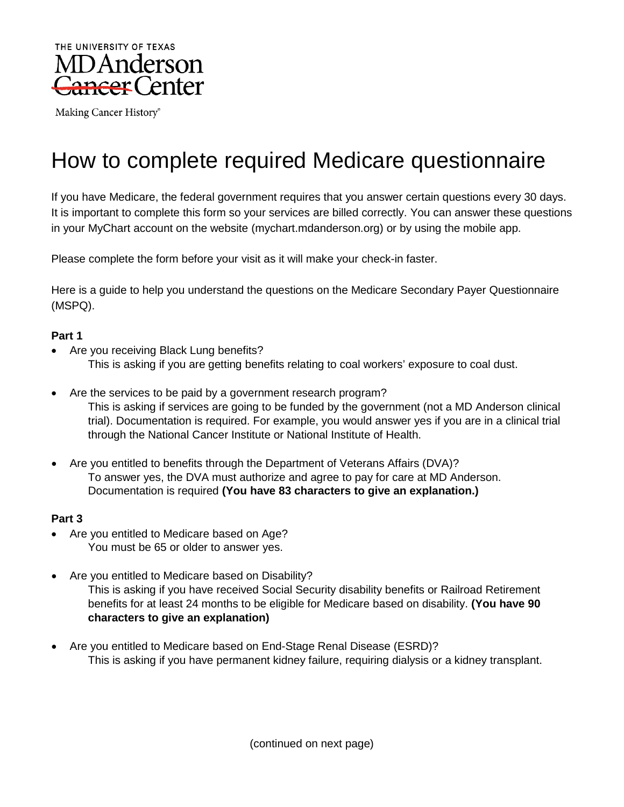

Making Cancer History®

# How to complete required Medicare questionnaire

If you have Medicare, the federal government requires that you answer certain questions every 30 days. It is important to complete this form so your services are billed correctly. You can answer these questions in your MyChart account on the website (mychart.mdanderson.org) or by using the mobile app.

Please complete the form before your visit as it will make your check-in faster.

Here is a guide to help you understand the questions on the Medicare Secondary Payer Questionnaire (MSPQ).

#### **Part 1**

- Are you receiving Black Lung benefits? This is asking if you are getting benefits relating to coal workers' exposure to coal dust.
- Are the services to be paid by a government research program? This is asking if services are going to be funded by the government (not a MD Anderson clinical trial). Documentation is required. For example, you would answer yes if you are in a clinical trial through the National Cancer Institute or National Institute of Health.
- Are you entitled to benefits through the Department of Veterans Affairs (DVA)? To answer yes, the DVA must authorize and agree to pay for care at MD Anderson. Documentation is required **(You have 83 characters to give an explanation.)**

#### **Part 3**

- Are you entitled to Medicare based on Age? You must be 65 or older to answer yes.
- Are you entitled to Medicare based on Disability? This is asking if you have received Social Security disability benefits or Railroad Retirement benefits for at least 24 months to be eligible for Medicare based on disability. **(You have 90 characters to give an explanation)**
- Are you entitled to Medicare based on End-Stage Renal Disease (ESRD)? This is asking if you have permanent kidney failure, requiring dialysis or a kidney transplant.